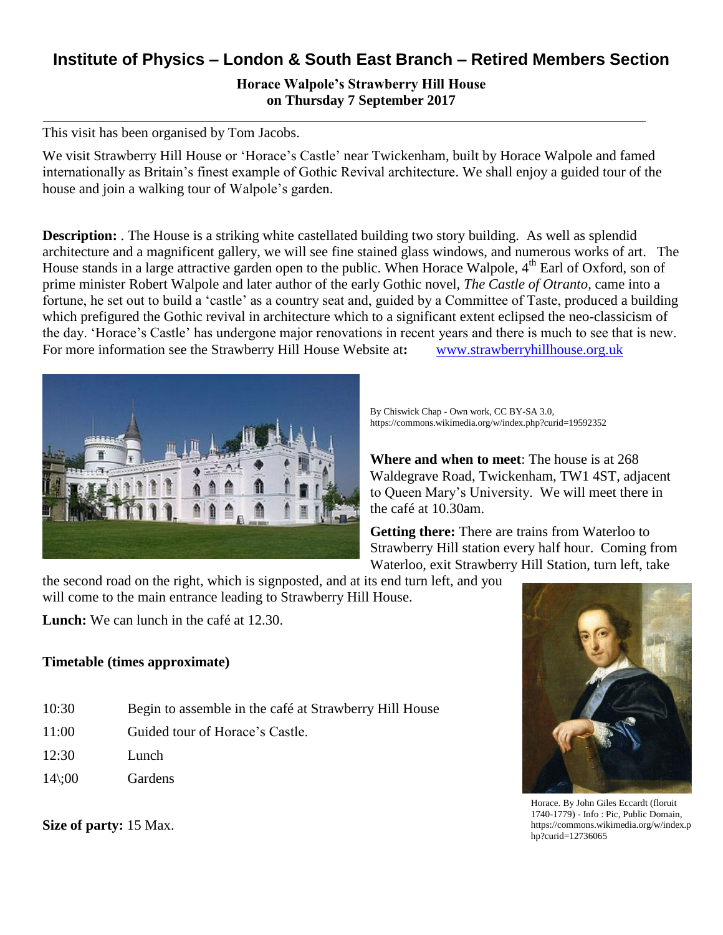## **Institute of Physics – London & South East Branch – Retired Members Section**

**Horace Walpole's Strawberry Hill House on Thursday 7 September 2017**

This visit has been organised by Tom Jacobs.

We visit Strawberry Hill House or 'Horace's Castle' near Twickenham, built by Horace Walpole and famed internationally as Britain's finest example of Gothic Revival architecture. We shall enjoy a guided tour of the house and join a walking tour of Walpole's garden.

**Description:** The House is a striking white castellated building two story building. As well as splendid architecture and a magnificent gallery, we will see fine stained glass windows, and numerous works of art. The House stands in a large attractive garden open to the public. When Horace Walpole, 4<sup>th</sup> Earl of Oxford, son of prime minister Robert Walpole and later author of the early Gothic novel, *The Castle of Otranto*, came into a fortune, he set out to build a 'castle' as a country seat and, guided by a Committee of Taste, produced a building which prefigured the Gothic revival in architecture which to a significant extent eclipsed the neo-classicism of the day. 'Horace's Castle' has undergone major renovations in recent years and there is much to see that is new. For more information see the Strawberry Hill House Website at: [www.strawberryhillhouse.org.uk](http://www.strawberryhillhouse.org.uk/)



By Chiswick Chap - Own work, CC BY-SA 3.0, https://commons.wikimedia.org/w/index.php?curid=19592352

**Where and when to meet**: The house is at 268 Waldegrave Road, Twickenham, TW1 4ST, adjacent to Queen Mary's University. We will meet there in the café at 10.30am.

**Getting there:** There are trains from Waterloo to Strawberry Hill station every half hour. Coming from Waterloo, exit Strawberry Hill Station, turn left, take

the second road on the right, which is signposted, and at its end turn left, and you will come to the main entrance leading to Strawberry Hill House.

**Lunch:** We can lunch in the café at 12.30.

## **Timetable (times approximate)**

- 10:30 Begin to assemble in the café at Strawberry Hill House
- 11:00 Guided tour of Horace's Castle.
- $12:30$  Lunch
- 14\;00 Gardens

Horace. By John Giles Eccardt (floruit 1740-1779) - Info : Pic, Public Domain, https://commons.wikimedia.org/w/index.p hp?curid=12736065

**Size of party:** 15 Max.